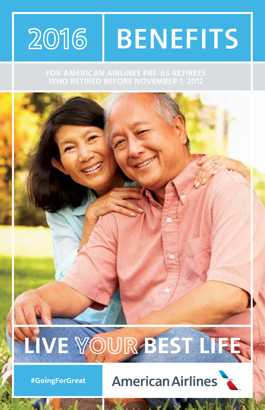## 2016 **BENEFITS**

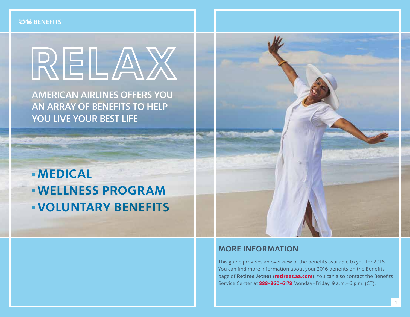#### **2016 BENEFITS**

# RELAX

AMERICAN AIRLINES OFFERS YOU AN ARRAY OF BENEFITS TO HELP YOU LIVE YOUR BEST LIFE

# **MEDICAL WELLNESS PROGRAM VOLUNTARY BENEFITS**



#### **MORE INFORMATION**

This guide provides an overview of the benefits available to you for 2016. You can find more information about your 2016 benefits on the Benefits page of **Retiree Jetnet** (**retirees.aa.com**). You can also contact the Benefits Service Center at **888-860-6178** Monday–Friday, 9 a.m.–6 p.m. (CT).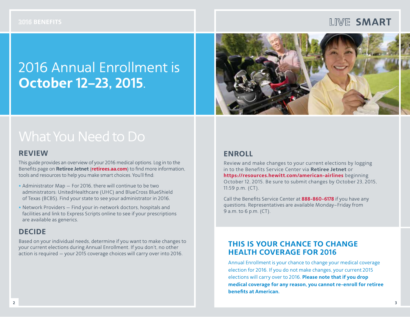#### **LIVE SMART**

# 2016 Annual Enrollment is **October 12–23, 2015**.



#### **REVIEW**

This guide provides an overview of your 2016 medical options. Log in to the Benefits page on **Retiree Jetnet** (**retirees.aa.com**) to find more information, tools and resources to help you make smart choices. You'll find:

- **•** Administrator Map For 2016, there will continue to be two administrators: UnitedHealthcare (UHC) and BlueCross BlueShield of Texas (BCBS). Find your state to see your administrator in 2016.
- **•** Network Providers Find your in-network doctors, hospitals and facilities and link to Express Scripts online to see if your prescriptions are available as generics.

#### **DECIDE**

Based on your individual needs, determine if you want to make changes to your current elections during Annual Enrollment. If you don't, no other action is required — your 2015 coverage choices will carry over into 2016.

#### **ENROLL**

Review and make changes to your current elections by logging in to the Benefits Service Center via **Retiree Jetnet** or **https://resources.hewitt.com/american-airlines** beginning October 12, 2015. Be sure to submit changes by October 23, 2015, 11:59 p.m. (CT).

Call the Benefits Service Center at **888-860-6178** if you have any questions. Representatives are available Monday–Friday from 9 a.m. to 6 p.m. (CT).

#### **THIS IS YOUR CHANCE TO CHANGE HEALTH COVERAGE FOR 2016**

Annual Enrollment is your chance to change your medical coverage election for 2016. If you do not make changes, your current 2015 elections will carry over to 2016. **Please note that if you drop medical coverage for any reason, you cannot re-enroll for retiree benefits at American.**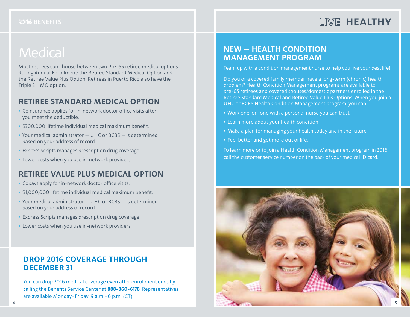Most retirees can choose between two Pre-65 retiree medical options during Annual Enrollment: the Retiree Standard Medical Option and the Retiree Value Plus Option. Retirees in Puerto Rico also have the Triple S HMO option.

#### **RETIREE STANDARD MEDICAL OPTION**

- **•** Coinsurance applies for in-network doctor office visits after you meet the deductible.
- **•** \$300,000 lifetime individual medical maximum benefit.
- **•** Your medical administrator UHC or BCBS is determined based on your address of record.
- **•** Express Scripts manages prescription drug coverage.
- **•** Lower costs when you use in-network providers.

#### **RETIREE VALUE PLUS MEDICAL OPTION**

- **•** Copays apply for in-network doctor office visits.
- **•** \$1,000,000 lifetime individual medical maximum benefit.
- **•** Your medical administrator UHC or BCBS is determined based on your address of record.
- **•** Express Scripts manages prescription drug coverage.
- **•** Lower costs when you use in-network providers.

#### **DROP 2016 COVERAGE THROUGH DECEMBER 31**

You can drop 2016 medical coverage even after enrollment ends by calling the Benefits Service Center at **888-860-6178**. Representatives are available Monday–Friday, 9 a.m.–6 p.m. (CT).

#### **NEW — HEALTH CONDITION MANAGEMENT PROGRAM**

Team up with a condition management nurse to help you live your best life!

Do you or a covered family member have a long-term (chronic) health problem? Health Condition Management programs are available to pre-65 retirees and covered spouses/domestic partners enrolled in the Retiree Standard Medical and Retiree Value Plus Options. When you join a UHC or BCBS Health Condition Management program, you can:

- **•** Work one-on-one with a personal nurse you can trust.
- **•** Learn more about your health condition.
- **•** Make a plan for managing your health today and in the future.
- **•** Feel better and get more out of life.

To learn more or to join a Health Condition Management program in 2016, call the customer service number on the back of your medical ID card.

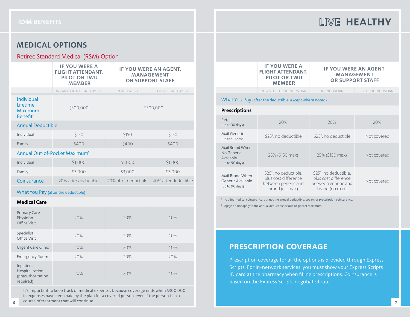#### **MEDICAL OPTIONS**

#### Retiree Standard Medical (RSM) Option

|                                                     | <b>IF YOU WERE A</b><br><b>FLIGHT ATTENDANT.</b><br><b>PILOT OR TWU</b><br><b>MEMBER</b> | IF YOU WERE AN AGENT.<br><b>MANAGEMENT</b><br><b>OR SUPPORT STAFF</b> |                       |  |
|-----------------------------------------------------|------------------------------------------------------------------------------------------|-----------------------------------------------------------------------|-----------------------|--|
|                                                     | IN-AND OUT-OF-NETWORK                                                                    | <b>IN-NETWORK</b>                                                     | <b>OUT-OF-NETWORK</b> |  |
| Individual<br>Lifetime<br>Maximum<br><b>Benefit</b> | \$300,000                                                                                | \$300,000                                                             |                       |  |
| <b>Annual Deductible</b>                            |                                                                                          |                                                                       |                       |  |
| Individual                                          | \$150                                                                                    | \$150                                                                 | \$150                 |  |
| Family                                              | \$400                                                                                    | \$400                                                                 | \$400                 |  |
| Annual Out-of-Pocket Maximum <sup>1</sup>           |                                                                                          |                                                                       |                       |  |
| Individual                                          | \$1,000                                                                                  | \$1,000                                                               | \$1,000               |  |
| Family                                              | \$3,000                                                                                  | \$3,000                                                               | \$3,000               |  |
| Coinsurance                                         | 20% after deductible                                                                     | 20% after deductible                                                  | 40% after deductible  |  |

What You Pay (after the deductible)

#### **Medical Care**

| <b>Primary Care</b><br>Physician<br>Office Visit               | 20% | 20% | 40% |
|----------------------------------------------------------------|-----|-----|-----|
| Specialist<br>Office Visit                                     | 20% | 20% | 40% |
| <b>Urgent Care Clinic</b>                                      | 20% | 20% | 40% |
| <b>Emergency Room</b>                                          | 20% | 20% | 20% |
| Inpatient<br>Hospitalization<br>(preauthorization<br>required) | 20% | 20% | 40% |

It's important to keep track of medical expenses because coverage ends when \$300,000 in expenses have been paid by the plan for a covered person, even if the person is in a course of treatment that will continue. **6** *Produce of dealine in that will continue***.</u> <b>7** *Produced by a continue of the contract of the contract of the contract of the contract of the contract of the contract of the contract of the contract of the contract* 

|                                                               | <b>IF YOU WERE A</b><br><b>FLIGHT ATTENDANT,</b><br><b>PILOT OR TWU</b><br><b>MEMBER</b>            | IF YOU WERE AN AGENT.<br><b>MANAGEMENT</b><br><b>OR SUPPORT STAFF</b>                               |                       |
|---------------------------------------------------------------|-----------------------------------------------------------------------------------------------------|-----------------------------------------------------------------------------------------------------|-----------------------|
|                                                               | IN-AND OUT-OF-NETWORK                                                                               | <b>IN-NETWORK</b>                                                                                   | <b>OUT-OF-NETWORK</b> |
|                                                               | What You Pay (after the deductible, except where noted)                                             |                                                                                                     |                       |
| <b>Prescriptions</b>                                          |                                                                                                     |                                                                                                     |                       |
| Retail<br>(up to 30 days)                                     | 20%                                                                                                 | 20%                                                                                                 | 20%                   |
| Mail Generic<br>(up to 90 days)                               | \$25 <sup>2</sup> , no deductible                                                                   | \$25 <sup>2</sup> , no deductible                                                                   | Not covered           |
| Mail Brand When<br>No Generic<br>Available<br>(up to 90 days) | 25% (\$150 max)                                                                                     | 25% (\$150 max)                                                                                     | Not covered           |
| Mail Brand When<br>Generic Available<br>(up to 90 days)       | \$25 <sup>2</sup> , no deductible,<br>plus cost difference<br>between generic and<br>brand (no max) | \$25 <sup>2</sup> , no deductible,<br>plus cost difference<br>between generic and<br>brand (no max) | Not covered           |

1 Includes medical coinsurance, but not the annual deductible, copays or prescription coinsurance.

<sup>2</sup> Copays do not apply to the annual deductible or out-of-pocket maximum.

#### **PRESCRIPTION COVERAGE**

Prescription coverage for all the options is provided through Express Scripts. For in-network services, you must show your Express Scripts ID card at the pharmacy when filling prescriptions. Coinsurance is based on the Express Scripts negotiated rate.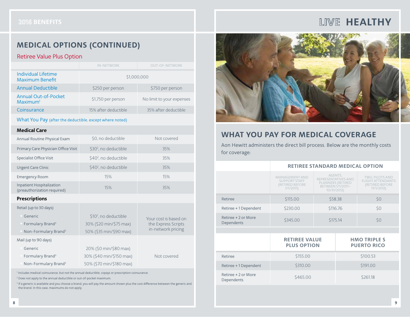#### **MEDICAL OPTIONS (CONTINUED)**

#### Retiree Value Plus Option

|                                                     | IN-NFTWORK           | <b>OUT-OF-NETWORK</b>     |  |
|-----------------------------------------------------|----------------------|---------------------------|--|
| Individual Lifetime<br><b>Maximum Benefit</b>       |                      | \$1,000,000               |  |
| <b>Annual Deductible</b>                            | \$250 per person     | \$750 per person          |  |
| <b>Annual Out-of-Pocket</b><br>Maximum <sup>1</sup> | \$1,750 per person   | No limit to your expenses |  |
| Coinsurance                                         | 15% after deductible | 35% after deductible      |  |

What You Pay (after the deductible, except where noted)

#### **Medical Care**

| Annual Routine Physical Exam                             | \$0, no deductible                | Not covered |
|----------------------------------------------------------|-----------------------------------|-------------|
| Primary Care Physician Office Visit                      | \$30 <sup>2</sup> no deductible   | 35%         |
| Specialist Office Visit                                  | \$40 <sup>2</sup> no deductible   | 35%         |
| <b>Urgent Care Clinic</b>                                | \$40 <sup>2</sup> , no deductible | 35%         |
| <b>Emergency Room</b>                                    | 15%                               | 15%         |
| Inpatient Hospitalization<br>(preauthorization required) | 15%                               | 35%         |

#### **Prescriptions**

| Retail (up to 30 days)           |                                   |                       |
|----------------------------------|-----------------------------------|-----------------------|
| Generic                          | \$10 <sup>2</sup> , no deductible | Your cost is based on |
| Formulary Brand <sup>3</sup>     | 30% (\$20 min/\$75 max)           | the Express Scripts   |
| Non-Formulary Brand <sup>3</sup> | 50% (\$35 min/\$90 max)           | in-network pricing    |
| Mail (up to 90 days)             |                                   |                       |
| Generic                          | 20% (\$0 min/\$80 max)            |                       |
| Formulary Brand <sup>3</sup>     | 30% (\$40 min/\$150 max)          | Not covered           |
| Non-Formulary Brand <sup>3</sup> | 50% (\$70 min/\$180 max)          |                       |

1 Includes medical coinsurance, but not the annual deductible, copays or prescription coinsurance.

<sup>2</sup> Does not apply to the annual deductible or out-of-pocket maximum.

<sup>3</sup> If a generic is available and you choose a brand, you will pay the amount shown plus the cost difference between the generic and the brand. In this case, maximums do not apply.



#### **WHAT YOU PAY FOR MEDICAL COVERAGE**

Aon Hewitt administers the direct bill process. Below are the monthly costs for coverage:

|                                   | <b>RETIREE STANDARD MEDICAL OPTION</b><br>AGENTS.<br><b>MANAGEMENT AND</b><br><b>TWU. PILOTS AND</b><br>REPRESENTATIVES AND<br><b>SUPPORT STAFF</b><br>FLIGHT ATTENDANTS<br>PLANNERS (RETIRED<br>(RETIRED BEFORE<br>(RETIRED BEFORE<br>BETWEEN 1/1/2011-<br>1/1/2011<br>11/1/2012)<br>10/31/2012)<br>\$58.38 |  |          |                                           |
|-----------------------------------|--------------------------------------------------------------------------------------------------------------------------------------------------------------------------------------------------------------------------------------------------------------------------------------------------------------|--|----------|-------------------------------------------|
|                                   |                                                                                                                                                                                                                                                                                                              |  |          |                                           |
| Retiree                           | \$115.00                                                                                                                                                                                                                                                                                                     |  |          | \$0                                       |
| Retiree +1 Dependent              | \$230.00                                                                                                                                                                                                                                                                                                     |  | \$116.76 | \$0                                       |
| Retiree + 2 or More<br>Dependents | \$345.00                                                                                                                                                                                                                                                                                                     |  | \$175.14 | \$0                                       |
|                                   |                                                                                                                                                                                                                                                                                                              |  |          |                                           |
|                                   | <b>RETIREE VALUE</b><br><b>PLUS OPTION</b>                                                                                                                                                                                                                                                                   |  |          | <b>HMO TRIPLE S</b><br><b>PUERTO RICO</b> |
| Retiree                           | \$155.00                                                                                                                                                                                                                                                                                                     |  |          | \$100.53                                  |
| Retiree +1 Dependent              | \$310.00                                                                                                                                                                                                                                                                                                     |  |          | \$191.00                                  |
| Retiree + 2 or More<br>Dependents | \$465.00                                                                                                                                                                                                                                                                                                     |  | \$261.18 |                                           |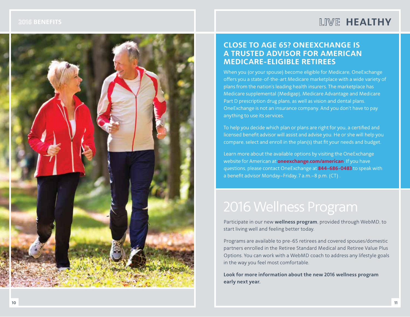

#### **CLOSE TO AGE 65? ONEEXCHANGE IS A TRUSTED ADVISOR FOR AMERICAN MEDICARE-ELIGIBLE RETIREES**

When you (or your spouse) become eligible for Medicare, OneExchange offers you a state-of-the-art Medicare marketplace with a wide variety of plans from the nation's leading health insurers. The marketplace has Medicare supplemental (Medigap), Medicare Advantage and Medicare Part D prescription drug plans, as well as vision and dental plans. OneExchange is not an insurance company. And you don't have to pay anything to use its services.

To help you decide which plan or plans are right for you, a certified and licensed benefit advisor will assist and advise you. He or she will help you compare, select and enroll in the plan(s) that fit your needs and budget.

Learn more about the available options by visiting the OneExchange website for American at **oneexchange.com/american**. If you have questions, please contact OneExchange at **844-686-0483** to speak with a benefit advisor Monday–Friday, 7 a.m.–8 p.m. (CT) .

Participate in our new **wellness program**, provided through WebMD, to start living well and feeling better today.

Programs are available to pre-65 retirees and covered spouses/domestic partners enrolled in the Retiree Standard Medical and Retiree Value Plus Options. You can work with a WebMD coach to address any lifestyle goals in the way you feel most comfortable.

**Look for more information about the new 2016 wellness program early next year.**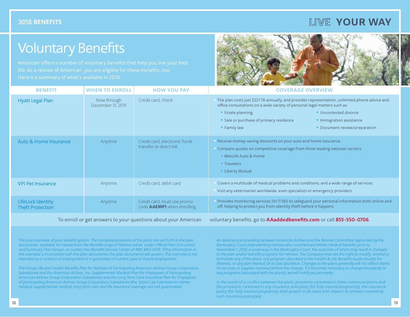#### **LIME YOUR WAY**

## Voluntary Benefits



| <b>BENEFIT</b>                               | <b>WHEN TO ENROLL</b>            | <b>HOW YOU PAY</b>                                               | <b>COVERAGE OVERVIEW</b>                                                                                                                                                                                                                                                                                                                                |
|----------------------------------------------|----------------------------------|------------------------------------------------------------------|---------------------------------------------------------------------------------------------------------------------------------------------------------------------------------------------------------------------------------------------------------------------------------------------------------------------------------------------------------|
| <b>Hyatt Legal Plan</b>                      | Now through<br>December 31, 2015 | Credit card, check                                               | The plan costs just \$227.76 annually, and provides representation, unlimited phone advice and<br>office consultations on a wide variety of personal legal matters such as:<br><b>Estate planning</b><br>Uncontested divorce<br>• Sale or purchase of primary residence<br>Immigration assistance<br><b>Family law</b><br>• Document review/preparation |
| Auto & Home Insurance                        | Anytime                          | Credit card, electronic funds<br>transfer or direct bill         | Receive money-saving discounts on your auto and home insurance.<br>Compare quotes on competitive coverage from three leading national carriers:<br><b>MetLife Auto &amp; Home</b><br><b>Travelers</b><br><b>Liberty Mutual</b>                                                                                                                          |
| <b>VPI Pet Insurance</b>                     | Anytime                          | Credit card, debit card                                          | Covers a multitude of medical problems and conditions, and a wide range of services.<br>Visit any veterinarian worldwide, even specialists or emergency providers.                                                                                                                                                                                      |
| LifeLock Identity<br><b>Theft Protection</b> | Anytime                          | Credit card, must use promo<br>code <b>AAEMP1</b> when enrolling | Provides monitoring services 24/7/365 to safeguard your personal information both online and<br>off, helping to protect you from identity theft before it happens.                                                                                                                                                                                      |

To enroll or get answers to your questions about your American voluntary benefits, go to **AAaddedbenefits.com** or call **855-550-0706**.

*This is an overview of your benefit options. The complete provisions of the plans are set forth in the plan documents, available for review from the Benefits page of Retiree Jetnet, under Official Plan Document and Summary Plan Design, or contact the Benefits Service Center at 888-860-6178. If the information in this overview is inconsistent with the plan documents, the plan documents will govern. This overview is not intended as a contract of employment or a guarantee of current, past or future employment.*

*The Group Life and Health Benefits Plan for Retirees of Participating American Airlines Group Corporation Subsidiaries and the American Airlines, Inc. Supplemental Medical Plan for Employees of Participating American Airlines Group Corporation Subsidiaries and the Long Term Care Insurance Plan for Employees of participating American Airlines Group Corporation Subsidiaries (the "plans") as it pertains to retiree medical, supplemental medical, long term care and life insurance coverage are not guaranteed.*

*An adversary proceeding between American Airlines and the Retiree Committee appointed by the Bankruptcy Court (representing retirees who commenced retiree medical benefits prior to November 1, 2012) is underway in the Bankruptcy Court, the outcome of which may result in changes to the plan and/or benefit programs for retirees. The Company reserves the right to modify, amend or terminate any of the plans, any program described in the Health & Life Benefits Guide (Guide) for Retirees, or any part thereof, at its sole discretion. Changes to the plans generally will not affect claims for services or supplies received before the change. If it becomes necessary to change the plan(s) or any programs associated with the plan(s), we will notify you promptly.*

*In the event of a conflict between the plans' provisions contained in these communications and the provisions contained in any insurance policy(ies) (for fully insured program(s)), the insurance policy (for fully insured program(s)) shall govern in all cases with respect to retirees covered by such insurance policy(ies).*